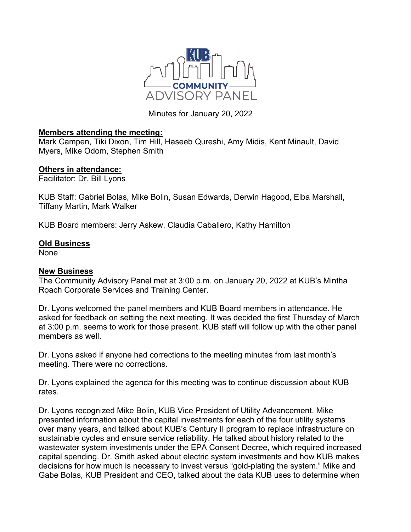

Minutes for January 20, 2022

## **Members attending the meeting:**

Mark Campen, Tiki Dixon, Tim Hill, Haseeb Qureshi, Amy Midis, Kent Minault, David Myers, Mike Odom, Stephen Smith

## **Others in attendance:**

Facilitator: Dr. Bill Lyons

KUB Staff: Gabriel Bolas, Mike Bolin, Susan Edwards, Derwin Hagood, Elba Marshall, Tiffany Martin, Mark Walker

KUB Board members: Jerry Askew, Claudia Caballero, Kathy Hamilton

## **Old Business**

None

## **New Business**

The Community Advisory Panel met at 3:00 p.m. on January 20, 2022 at KUB's Mintha Roach Corporate Services and Training Center.

Dr. Lyons welcomed the panel members and KUB Board members in attendance. He asked for feedback on setting the next meeting. It was decided the first Thursday of March at 3:00 p.m. seems to work for those present. KUB staff will follow up with the other panel members as well.

Dr. Lyons asked if anyone had corrections to the meeting minutes from last month's meeting. There were no corrections.

Dr. Lyons explained the agenda for this meeting was to continue discussion about KUB rates.

Dr. Lyons recognized Mike Bolin, KUB Vice President of Utility Advancement. Mike presented information about the capital investments for each of the four utility systems over many years, and talked about KUB's Century II program to replace infrastructure on sustainable cycles and ensure service reliability. He talked about history related to the wastewater system investments under the EPA Consent Decree, which required increased capital spending. Dr. Smith asked about electric system investments and how KUB makes decisions for how much is necessary to invest versus "gold-plating the system." Mike and Gabe Bolas, KUB President and CEO, talked about the data KUB uses to determine when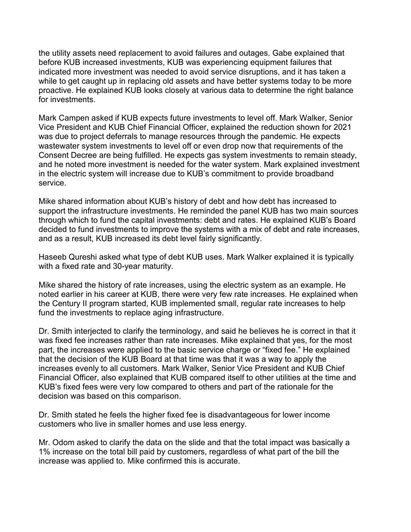the utility assets need replacement to avoid failures and outages. Gabe explained that before KUB increased investments, KUB was experiencing equipment failures that indicated more investment was needed to avoid service disruptions, and it has taken a while to get caught up in replacing old assets and have better systems today to be more proactive. He explained KUB looks closely at various data to determine the right balance for investments.

Mark Campen asked if KUB expects future investments to level off. Mark Walker, Senior Vice President and KUB Chief Financial Officer, explained the reduction shown for 2021 was due to project deferrals to manage resources through the pandemic. He expects wastewater system investments to level off or even drop now that requirements of the Consent Decree are being fulfilled. He expects gas system investments to remain steady, and he noted more investment is needed for the water system. Mark explained investment in the electric system will increase due to KUB's commitment to provide broadband service.

Mike shared information about KUB's history of debt and how debt has increased to support the infrastructure investments. He reminded the panel KUB has two main sources through which to fund the capital investments: debt and rates. He explained KUB's Board decided to fund investments to improve the systems with a mix of debt and rate increases, and as a result, KUB increased its debt level fairly significantly.

Haseeb Qureshi asked what type of debt KUB uses. Mark Walker explained it is typically with a fixed rate and 30-year maturity.

Mike shared the history of rate increases, using the electric system as an example. He noted earlier in his career at KUB, there were very few rate increases. He explained when the Century II program started, KUB implemented small, regular rate increases to help fund the investments to replace aging infrastructure.

Dr. Smith interjected to clarify the terminology, and said he believes he is correct in that it was fixed fee increases rather than rate increases. Mike explained that yes, for the most part, the increases were applied to the basic service charge or "fixed fee." He explained that the decision of the KUB Board at that time was that it was a way to apply the increases evenly to all customers. Mark Walker, Senior Vice President and KUB Chief Financial Officer, also explained that KUB compared itself to other utilities at the time and KUB's fixed fees were very low compared to others and part of the rationale for the decision was based on this comparison.

Dr. Smith stated he feels the higher fixed fee is disadvantageous for lower income customers who live in smaller homes and use less energy.

Mr. Odom asked to clarify the data on the slide and that the total impact was basically a 1% increase on the total bill paid by customers, regardless of what part of the bill the increase was applied to. Mike confirmed this is accurate.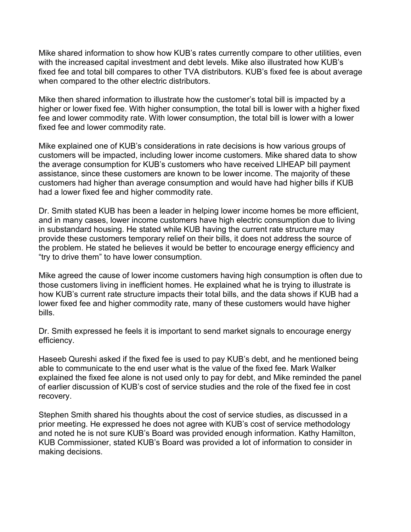Mike shared information to show how KUB's rates currently compare to other utilities, even with the increased capital investment and debt levels. Mike also illustrated how KUB's fixed fee and total bill compares to other TVA distributors. KUB's fixed fee is about average when compared to the other electric distributors.

Mike then shared information to illustrate how the customer's total bill is impacted by a higher or lower fixed fee. With higher consumption, the total bill is lower with a higher fixed fee and lower commodity rate. With lower consumption, the total bill is lower with a lower fixed fee and lower commodity rate.

Mike explained one of KUB's considerations in rate decisions is how various groups of customers will be impacted, including lower income customers. Mike shared data to show the average consumption for KUB's customers who have received LIHEAP bill payment assistance, since these customers are known to be lower income. The majority of these customers had higher than average consumption and would have had higher bills if KUB had a lower fixed fee and higher commodity rate.

Dr. Smith stated KUB has been a leader in helping lower income homes be more efficient, and in many cases, lower income customers have high electric consumption due to living in substandard housing. He stated while KUB having the current rate structure may provide these customers temporary relief on their bills, it does not address the source of the problem. He stated he believes it would be better to encourage energy efficiency and "try to drive them" to have lower consumption.

Mike agreed the cause of lower income customers having high consumption is often due to those customers living in inefficient homes. He explained what he is trying to illustrate is how KUB's current rate structure impacts their total bills, and the data shows if KUB had a lower fixed fee and higher commodity rate, many of these customers would have higher bills.

Dr. Smith expressed he feels it is important to send market signals to encourage energy efficiency.

Haseeb Qureshi asked if the fixed fee is used to pay KUB's debt, and he mentioned being able to communicate to the end user what is the value of the fixed fee. Mark Walker explained the fixed fee alone is not used only to pay for debt, and Mike reminded the panel of earlier discussion of KUB's cost of service studies and the role of the fixed fee in cost recovery.

Stephen Smith shared his thoughts about the cost of service studies, as discussed in a prior meeting. He expressed he does not agree with KUB's cost of service methodology and noted he is not sure KUB's Board was provided enough information. Kathy Hamilton, KUB Commissioner, stated KUB's Board was provided a lot of information to consider in making decisions.